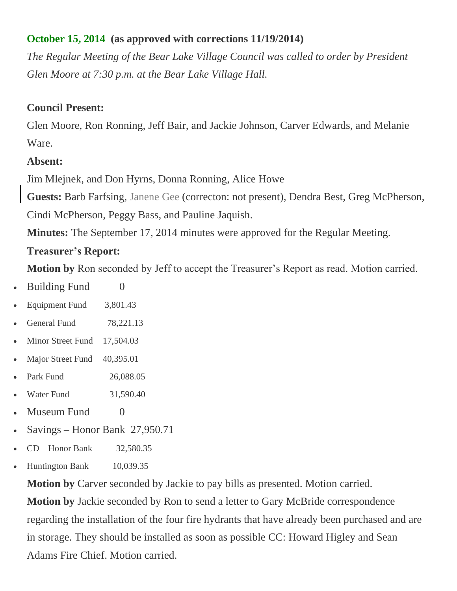## **October 15, 2014 (as approved with corrections 11/19/2014)**

*The Regular Meeting of the Bear Lake Village Council was called to order by President Glen Moore at 7:30 p.m. at the Bear Lake Village Hall.*

#### **Council Present:**

Glen Moore, Ron Ronning, Jeff Bair, and Jackie Johnson, Carver Edwards, and Melanie Ware.

#### **Absent:**

Jim Mlejnek, and Don Hyrns, Donna Ronning, Alice Howe

**Guests:** Barb Farfsing, Janene Gee (correcton: not present), Dendra Best, Greg McPherson,

Cindi McPherson, Peggy Bass, and Pauline Jaquish.

**Minutes:** The September 17, 2014 minutes were approved for the Regular Meeting.

#### **Treasurer's Report:**

**Motion by** Ron seconded by Jeff to accept the Treasurer's Report as read. Motion carried.

- $\bullet$  Building Fund  $\qquad \qquad 0$
- Equipment Fund 3,801.43
- General Fund 78,221.13
- Minor Street Fund 17,504.03
- Major Street Fund 40,395.01
- Park Fund 26,088.05
- Water Fund 31,590.40
- Museum Fund 0
- Savings Honor Bank 27,950.71
- $\bullet$  CD Honor Bank 32,580.35
- Huntington Bank 10,039.35

**Motion by** Carver seconded by Jackie to pay bills as presented. Motion carried. **Motion by** Jackie seconded by Ron to send a letter to Gary McBride correspondence regarding the installation of the four fire hydrants that have already been purchased and are in storage. They should be installed as soon as possible CC: Howard Higley and Sean Adams Fire Chief. Motion carried.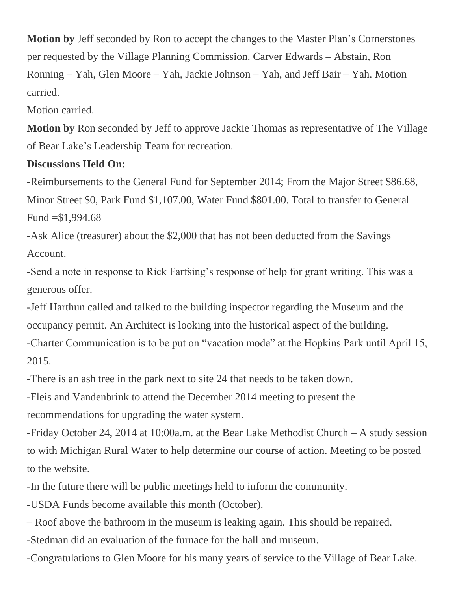**Motion by** Jeff seconded by Ron to accept the changes to the Master Plan's Cornerstones per requested by the Village Planning Commission. Carver Edwards – Abstain, Ron Ronning – Yah, Glen Moore – Yah, Jackie Johnson – Yah, and Jeff Bair – Yah. Motion carried.

Motion carried.

**Motion by** Ron seconded by Jeff to approve Jackie Thomas as representative of The Village of Bear Lake's Leadership Team for recreation.

#### **Discussions Held On:**

-Reimbursements to the General Fund for September 2014; From the Major Street \$86.68, Minor Street \$0, Park Fund \$1,107.00, Water Fund \$801.00. Total to transfer to General Fund  $= $1,994.68$ 

-Ask Alice (treasurer) about the \$2,000 that has not been deducted from the Savings Account.

-Send a note in response to Rick Farfsing's response of help for grant writing. This was a generous offer.

-Jeff Harthun called and talked to the building inspector regarding the Museum and the occupancy permit. An Architect is looking into the historical aspect of the building. -Charter Communication is to be put on "vacation mode" at the Hopkins Park until April 15, 2015.

-There is an ash tree in the park next to site 24 that needs to be taken down.

-Fleis and Vandenbrink to attend the December 2014 meeting to present the recommendations for upgrading the water system.

-Friday October 24, 2014 at 10:00a.m. at the Bear Lake Methodist Church – A study session to with Michigan Rural Water to help determine our course of action. Meeting to be posted to the website.

-In the future there will be public meetings held to inform the community.

-USDA Funds become available this month (October).

– Roof above the bathroom in the museum is leaking again. This should be repaired.

-Stedman did an evaluation of the furnace for the hall and museum.

-Congratulations to Glen Moore for his many years of service to the Village of Bear Lake.